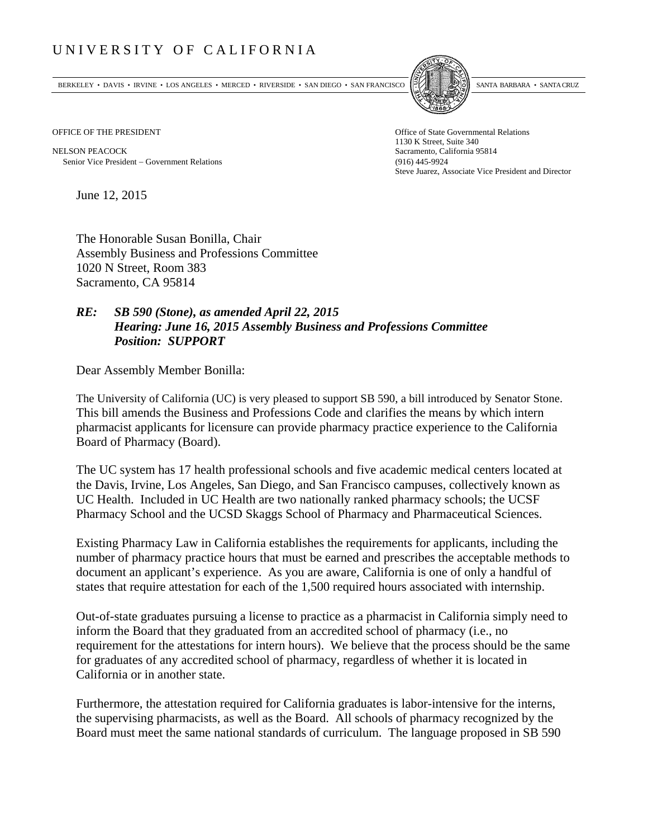## UNIVERSITY OF CALIFORNIA

BERKELEY • DAVIS • IRVINE • LOS ANGELES • MERCED • RIVERSIDE • SAN DIEGO • SAN FRANCISCO SANTA BARBARA • SANTA CRUZ



OFFICE OF THE PRESIDENT STATES OF THE PRESIDENT

NELSON PEACOCK Sacramento, California 95814 Senior Vice President Government Relations (916) 445-9924

1130 K Street, Suite 340 Steve Juarez, Associate Vice President and Director

June 12, 2015

The Honorable Susan Bonilla, Chair Assembly Business and Professions Committee 1020 N Street, Room 383 Sacramento, CA 95814

## *RE: SB 590 (Stone), as amended April 22, 2015 Hearing: June 16, 2015 Assembly Business and Professions Committee Position: SUPPORT*

Dear Assembly Member Bonilla:

The University of California (UC) is very pleased to support SB 590, a bill introduced by Senator Stone. This bill amends the Business and Professions Code and clarifies the means by which intern pharmacist applicants for licensure can provide pharmacy practice experience to the California Board of Pharmacy (Board).

The UC system has 17 health professional schools and five academic medical centers located at the Davis, Irvine, Los Angeles, San Diego, and San Francisco campuses, collectively known as UC Health. Included in UC Health are two nationally ranked pharmacy schools; the UCSF Pharmacy School and the UCSD Skaggs School of Pharmacy and Pharmaceutical Sciences.

Existing Pharmacy Law in California establishes the requirements for applicants, including the number of pharmacy practice hours that must be earned and prescribes the acceptable methods to document an applicant's experience. As you are aware, California is one of only a handful of states that require attestation for each of the 1,500 required hours associated with internship.

Out-of-state graduates pursuing a license to practice as a pharmacist in California simply need to inform the Board that they graduated from an accredited school of pharmacy (i.e., no requirement for the attestations for intern hours). We believe that the process should be the same for graduates of any accredited school of pharmacy, regardless of whether it is located in California or in another state.

Furthermore, the attestation required for California graduates is labor-intensive for the interns, the supervising pharmacists, as well as the Board. All schools of pharmacy recognized by the Board must meet the same national standards of curriculum. The language proposed in SB 590